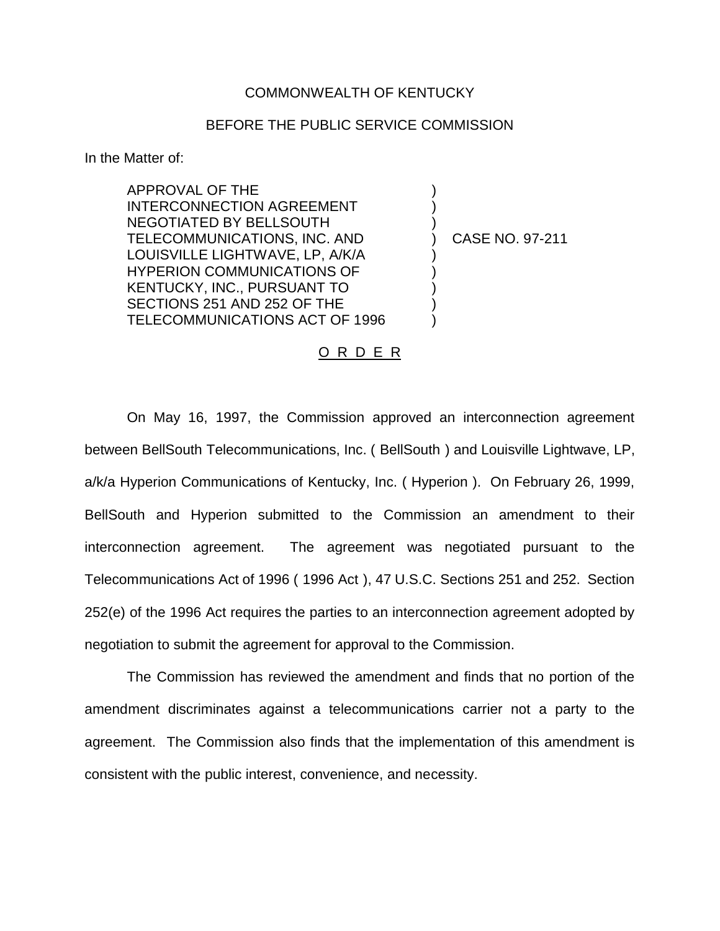## COMMONWEALTH OF KENTUCKY

## BEFORE THE PUBLIC SERVICE COMMISSION

) ) )

) ) ) ) )

In the Matter of:

APPROVAL OF THE INTERCONNECTION AGREEMENT NEGOTIATED BY BELLSOUTH TELECOMMUNICATIONS, INC. AND LOUISVILLE LIGHTWAVE, LP, A/K/A HYPERION COMMUNICATIONS OF KENTUCKY, INC., PURSUANT TO SECTIONS 251 AND 252 OF THE TELECOMMUNICATIONS ACT OF 1996

) CASE NO. 97-211

## O R D E R

On May 16, 1997, the Commission approved an interconnection agreement between BellSouth Telecommunications, Inc. ( BellSouth ) and Louisville Lightwave, LP, a/k/a Hyperion Communications of Kentucky, Inc. ( Hyperion ). On February 26, 1999, BellSouth and Hyperion submitted to the Commission an amendment to their interconnection agreement. The agreement was negotiated pursuant to the Telecommunications Act of 1996 ( 1996 Act ), 47 U.S.C. Sections 251 and 252. Section 252(e) of the 1996 Act requires the parties to an interconnection agreement adopted by negotiation to submit the agreement for approval to the Commission.

The Commission has reviewed the amendment and finds that no portion of the amendment discriminates against a telecommunications carrier not a party to the agreement. The Commission also finds that the implementation of this amendment is consistent with the public interest, convenience, and necessity.